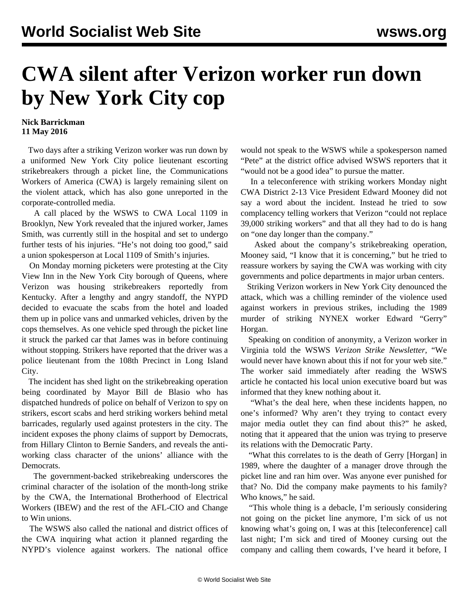## **CWA silent after Verizon worker run down by New York City cop**

## **Nick Barrickman 11 May 2016**

 Two days after a striking Verizon worker was run down by a uniformed New York City police lieutenant escorting strikebreakers through a picket line, the Communications Workers of America (CWA) is largely remaining silent on the violent attack, which has also gone unreported in the corporate-controlled media.

 A call placed by the WSWS to CWA Local 1109 in Brooklyn, New York revealed that the injured worker, James Smith, was currently still in the hospital and set to undergo further tests of his injuries. "He's not doing too good," said a union spokesperson at Local 1109 of Smith's injuries.

 On Monday morning picketers were protesting at the City View Inn in the New York City borough of Queens, where Verizon was housing strikebreakers reportedly from Kentucky. After a lengthy and angry standoff, the NYPD decided to evacuate the scabs from the hotel and loaded them up in police vans and unmarked vehicles, driven by the cops themselves. As one vehicle sped through the picket line it struck the parked car that James was in before continuing without stopping. Strikers have reported that the driver was a police lieutenant from the 108th Precinct in Long Island City.

 The incident has shed light on the strikebreaking operation being coordinated by Mayor Bill de Blasio who has dispatched hundreds of police on behalf of Verizon to spy on strikers, escort scabs and herd striking workers behind metal barricades, regularly used against protesters in the city. The incident exposes the phony claims of support by Democrats, from Hillary Clinton to Bernie Sanders, and reveals the antiworking class character of the unions' alliance with the Democrats.

 The government-backed strikebreaking underscores the criminal character of the isolation of the month-long strike by the CWA, the International Brotherhood of Electrical Workers (IBEW) and the rest of the AFL-CIO and Change to Win unions.

 The WSWS also called the national and district offices of the CWA inquiring what action it planned regarding the NYPD's violence against workers. The national office would not speak to the WSWS while a spokesperson named "Pete" at the district office advised WSWS reporters that it "would not be a good idea" to pursue the matter.

 In a teleconference with striking workers Monday night CWA District 2-13 Vice President Edward Mooney did not say a word about the incident. Instead he tried to sow complacency telling workers that Verizon "could not replace 39,000 striking workers" and that all they had to do is hang on "one day longer than the company."

 Asked about the company's strikebreaking operation, Mooney said, "I know that it is concerning," but he tried to reassure workers by saying the CWA was working with city governments and police departments in major urban centers.

 Striking Verizon workers in New York City denounced the attack, which was a chilling reminder of the violence used against workers in previous strikes, including the 1989 murder of striking NYNEX worker Edward "Gerry" Horgan.

 Speaking on condition of anonymity, a Verizon worker in Virginia told the WSWS *Verizon Strike Newsletter,* "We would never have known about this if not for your web site." The worker said immediately after reading the WSWS article he contacted his local union executive board but was informed that they knew nothing about it.

 "What's the deal here, when these incidents happen, no one's informed? Why aren't they trying to contact every major media outlet they can find about this?" he asked, noting that it appeared that the union was trying to preserve its relations with the Democratic Party.

 "What this correlates to is the death of Gerry [Horgan] in 1989, where the daughter of a manager drove through the picket line and ran him over. Was anyone ever punished for that? No. Did the company make payments to his family? Who knows," he said.

 "This whole thing is a debacle, I'm seriously considering not going on the picket line anymore, I'm sick of us not knowing what's going on, I was at this [teleconference] call last night; I'm sick and tired of Mooney cursing out the company and calling them cowards, I've heard it before, I